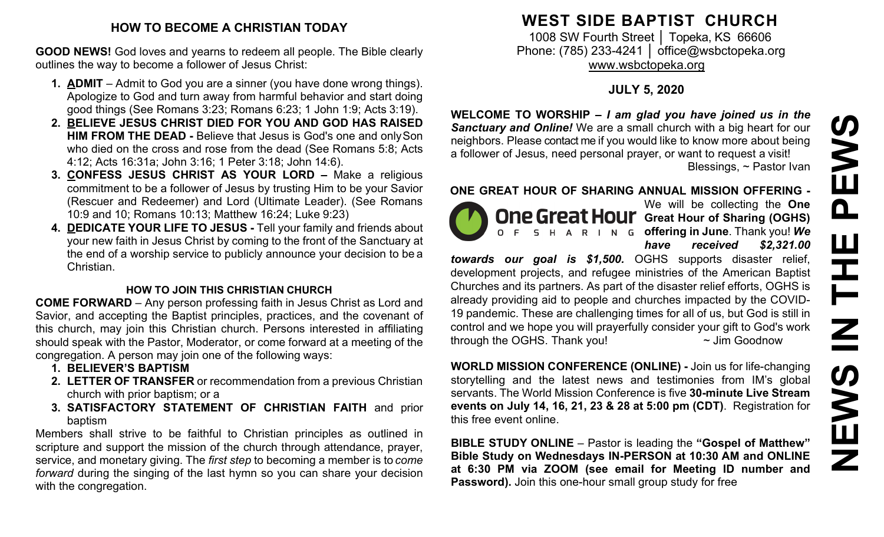#### **HOW TO BECOME A CHRISTIAN TODAY**

**GOOD NEWS!** God loves and yearns to redeem all people. The Bible clearly outlines the way to become a follower of Jesus Christ:

- **1. ADMIT**  Admit to God you are a sinner (you have done wrong things). Apologize to God and turn away from harmful behavior and start doing good things (See Romans 3:23; Romans 6:23; 1 John 1:9; Acts 3:19).
- **2. BELIEVE JESUS CHRIST DIED FOR YOU AND GOD HAS RAISED HIM FROM THE DEAD -** Believe that Jesus is God's one and onlySon who died on the cross and rose from the dead (See Romans 5:8; Acts 4:12; Acts 16:31a; John 3:16; 1 Peter 3:18; John 14:6).
- **3. CONFESS JESUS CHRIST AS YOUR LORD –** Make a religious commitment to be a follower of Jesus by trusting Him to be your Savior (Rescuer and Redeemer) and Lord (Ultimate Leader). (See Romans 10:9 and 10; Romans 10:13; Matthew 16:24; Luke 9:23)
- **4. DEDICATE YOUR LIFE TO JESUS -** Tell your family and friends about your new faith in Jesus Christ by coming to the front of the Sanctuary at the end of a worship service to publicly announce your decision to be a Christian.

## **HOW TO JOIN THIS CHRISTIAN CHURCH**

**COME FORWARD** – Any person professing faith in Jesus Christ as Lord and Savior, and accepting the Baptist principles, practices, and the covenant of this church, may join this Christian church. Persons interested in affiliating should speak with the Pastor, Moderator, or come forward at a meeting of the congregation. A person may join one of the following ways:

- **1. BELIEVER'S BAPTISM**
- **2. LETTER OF TRANSFER** or recommendation from a previous Christian church with prior baptism; or a
- **3. SATISFACTORY STATEMENT OF CHRISTIAN FAITH** and prior baptism

Members shall strive to be faithful to Christian principles as outlined in scripture and support the mission of the church through attendance, prayer, service, and monetary giving. The *first step* to becoming a member is to *come forward* during the singing of the last hymn so you can share your decision with the congregation.

# **WEST SIDE BAPTIST CHURCH**

1008 SW Fourth Street | Topeka, KS 66606 Phone: (785) 233-4241 │ [office@wsbctopeka.org](mailto:office@wsbctopeka.org) [www.wsbctopeka.org](http://www.wsbctopeka.org/)

# **JULY 5, 2020**

**WELCOME TO WORSHIP –** *I am glad you have joined us in the Sanctuary and Online!* We are a small church with a big heart for our neighbors. Please contact me if you would like to know more about being a follower of Jesus, need personal prayer, or want to request a visit! Blessings, ~ Pastor Ivan

## **ONE GREAT HOUR OF SHARING ANNUAL MISSION OFFERING -**



We will be collecting the **One One Great Hour** Great Hour of Sharing (OGHS) **offering in June**. Thank you! *We have received \$2,321.00* 

*towards our goal is \$1,500.* OGHS supports disaster relief, development projects, and refugee ministries of the American Baptist Churches and its partners. As part of the disaster relief efforts, OGHS is already providing aid to people and churches impacted by the COVID-19 pandemic. These are challenging times for all of us, but God is still in control and we hope you will prayerfully consider your gift to God's work through the OGHS. Thank you!  $\sim$  Jim Goodnow

**WORLD MISSION CONFERENCE (ONLINE) -** Join us for life-changing storytelling and the latest news and testimonies from IM's global servants. The World Mission Conference is five **30-minute Live Stream events on July 14, 16, 21, 23 & 28 at 5:00 pm (CDT)**. Registration for this free event online.

**BIBLE STUDY ONLINE** – Pastor is leading the **"Gospel of Matthew" Bible Study on Wednesdays IN-PERSON at 10:30 AM and ONLINE at 6:30 PM via ZOOM (see email for Meeting ID number and Password).** Join this one-hour small group study for free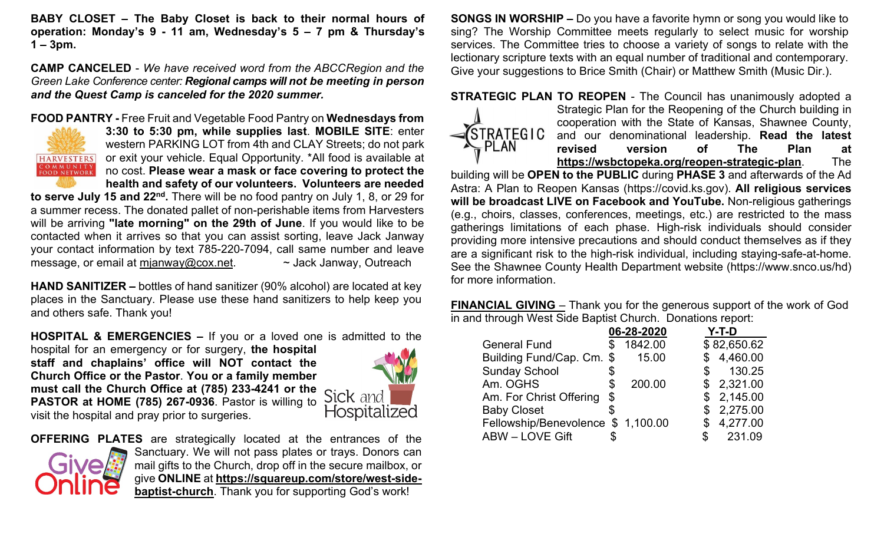**BABY CLOSET – The Baby Closet is back to their normal hours of operation: Monday's 9 - 11 am, Wednesday's 5 – 7 pm & Thursday's 1 – 3pm.**

**CAMP CANCELED** - *We have received word from the ABCCRegion and the Green Lake Conference center: Regional camps will not be meeting in person and the Quest Camp is canceled for the 2020 summer.* 

#### **FOOD PANTRY -** Free Fruit and Vegetable Food Pantry on **Wednesdays from**



**3:30 to 5:30 pm, while supplies last**. **MOBILE SITE**: enter western PARKING LOT from 4th and CLAY Streets; do not park or exit your vehicle. Equal Opportunity. \*All food is available at no cost. **Please wear a mask or face covering to protect the health and safety of our volunteers. Volunteers are needed** 

**to serve July 15 and 22nd.** There will be no food pantry on July 1, 8, or 29 for a summer recess. The donated pallet of non-perishable items from Harvesters will be arriving **"late morning" on the 29th of June**. If you would like to be contacted when it arrives so that you can assist sorting, leave Jack Janway your contact information by text 785-220-7094, call same number and leave message, or email at [mjanway@cox.net.](mailto:mjanway@cox.net)  $\sim$  Jack Janway, Outreach

**HAND SANITIZER –** bottles of hand sanitizer (90% alcohol) are located at key places in the Sanctuary. Please use these hand sanitizers to help keep you and others safe. Thank you!

**HOSPITAL & EMERGENCIES –** If you or a loved one is admitted to the

hospital for an emergency or for surgery, **the hospital staff and chaplains' office will NOT contact the Church Office or the Pastor**. **You or a family member must call the Church Office at (785) 233-4241 or the PASTOR at HOME (785) 267-0936**. Pastor is willing to visit the hospital and pray prior to surgeries.





**OFFERING PLATES** are strategically located at the entrances of the Sanctuary. We will not pass plates or trays. Donors can mail gifts to the Church, drop off in the secure mailbox, or give **ONLINE** at **[https://squareup.com/store/west-side](https://squareup.com/store/west-side-baptist-church)[baptist-church](https://squareup.com/store/west-side-baptist-church)**. Thank you for supporting God's work!

**SONGS IN WORSHIP –** Do you have a favorite hymn or song you would like to sing? The Worship Committee meets regularly to select music for worship services. The Committee tries to choose a variety of songs to relate with the lectionary scripture texts with an equal number of traditional and contemporary. Give your suggestions to Brice Smith (Chair) or Matthew Smith (Music Dir.).

#### **STRATEGIC PLAN TO REOPEN** - The Council has unanimously adopted a



Strategic Plan for the Reopening of the Church building in cooperation with the State of Kansas, Shawnee County, **A**STRATEGIC and our denominational leadership. Read the latest **revised version of The Plan at <https://wsbctopeka.org/reopen-strategic-plan>**. The

building will be **OPEN to the PUBLIC** during **PHASE 3** and afterwards of the Ad Astra: A Plan to Reopen Kansas (https://covid.ks.gov). **All religious services will be broadcast LIVE on Facebook and YouTube.** Non-religious gatherings (e.g., choirs, classes, conferences, meetings, etc.) are restricted to the mass gatherings limitations of each phase. High-risk individuals should consider providing more intensive precautions and should conduct themselves as if they are a significant risk to the high-risk individual, including staying-safe-at-home. See the Shawnee County Health Department website (https://www.snco.us/hd) for more information.

**FINANCIAL GIVING** – Thank you for the generous support of the work of God in and through West Side Baptist Church. Donations report:

|                                    | 06-28-2020 | Y-T-D       |
|------------------------------------|------------|-------------|
| <b>General Fund</b>                | 1842.00    | \$82,650.62 |
| Building Fund/Cap. Cm. \$          | 15.00      | \$4,460.00  |
| <b>Sunday School</b>               |            | 130.25      |
| Am. OGHS                           | 200.00     | \$2,321.00  |
| Am. For Christ Offering            | \$         | \$2,145.00  |
| <b>Baby Closet</b>                 |            | \$2,275.00  |
| Fellowship/Benevolence \$ 1,100.00 |            | 4,277.00    |
| <b>ABW - LOVE Gift</b>             |            | 231.09      |